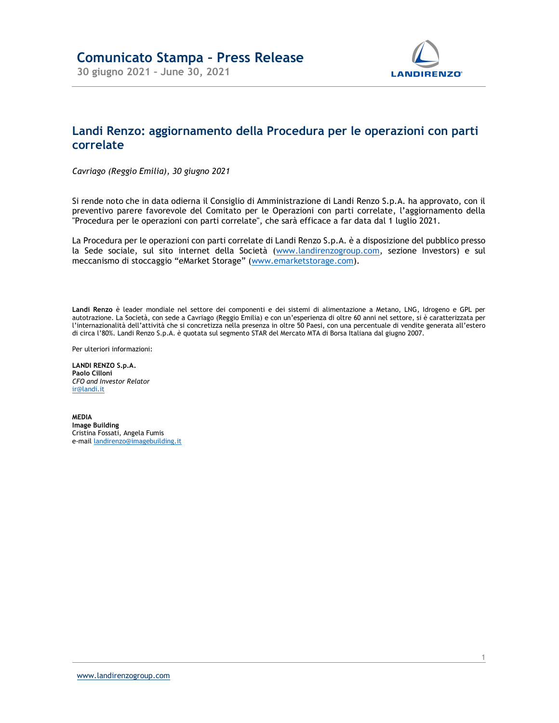

## Landi Renzo: aggiornamento della Procedura per le operazioni con parti correlate

Cavriago (Reggio Emilia), 30 giugno 2021

Si rende noto che in data odierna il Consiglio di Amministrazione di Landi Renzo S.p.A. ha approvato, con il preventivo parere favorevole del Comitato per le Operazioni con parti correlate, l'aggiornamento della "Procedura per le operazioni con parti correlate", che sarà efficace a far data dal 1 luglio 2021.

La Procedura per le operazioni con parti correlate di Landi Renzo S.p.A. è a disposizione del pubblico presso la Sede sociale, sul sito internet della Società (www.landirenzogroup.com, sezione Investors) e sul meccanismo di stoccaggio "eMarket Storage" (www.emarketstorage.com).

Landi Renzo è leader mondiale nel settore dei componenti e dei sistemi di alimentazione a Metano, LNG, Idrogeno e GPL per autotrazione. La Società, con sede a Cavriago (Reggio Emilia) e con un'esperienza di oltre 60 anni nel settore, si è caratterizzata per l'internazionalità dell'attività che si concretizza nella presenza in oltre 50 Paesi, con una percentuale di vendite generata all'estero di circa l'80%. Landi Renzo S.p.A. è quotata sul segmento STAR del Mercato MTA di Borsa Italiana dal giugno 2007.

Per ulteriori informazioni:

LANDI RENZO S.p.A. Paolo Cilloni CFO and Investor Relator ir@landi.it

MEDIA Image Building Cristina Fossati, Angela Fumis e-mail landirenzo@imagebuilding.it